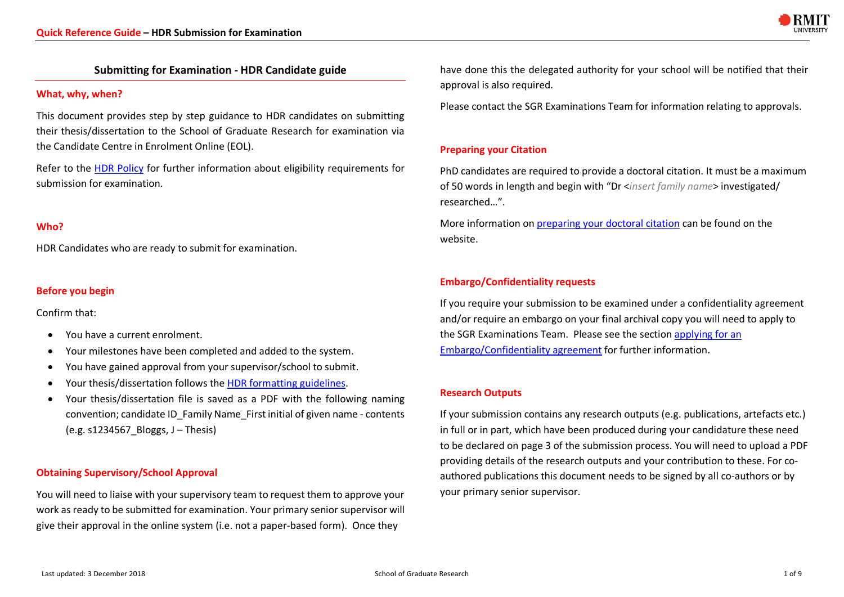

# **Submitting for Examination - HDR Candidate guide**

#### **What, why, when?**

This document provides step by step guidance to HDR candidates on submitting their thesis/dissertation to the School of Graduate Research for examination via the Candidate Centre in Enrolment Online (EOL).

Refer to the HDR Policy for further information about eligibility requirements for submission for examination.

# **Who?**

HDR Candidates who are ready to submit for examination.

# **Before you begin**

Confirm that:

- You have a current enrolment.
- Your milestones have been completed and added to the system.
- You have gained approval from your supervisor/school to submit.
- Your thesis/dissertation follows the HDR formatting guidelines.
- Your thesis/dissertation file is saved as a PDF with the following naming convention; candidate ID\_Family Name\_First initial of given name - contents (e.g. s1234567\_Bloggs, J – Thesis)

### **Obtaining Supervisory/School Approval**

You will need to liaise with your supervisory team to request them to approve your work as ready to be submitted for examination. Your primary senior supervisor will give their approval in the online system (i.e. not a paper-based form). Once they

have done this the delegated authority for your school will be notified that their approval is also required.

Please contact the SGR Examinations Team for information relating to approvals.

# **Preparing your Citation**

PhD candidates are required to provide a doctoral citation. It must be a maximum of 50 words in length and begin with "Dr <*insert family name*> investigated/ researched…".

More information on preparing your doctoral citation can be found on the website.

# **Embargo/Confidentiality requests**

If you require your submission to be examined under a confidentiality agreement and/or require an embargo on your final archival copy you will need to apply to the SGR Examinations Team. Please see the section applying for an Embargo/Confidentiality agreement for further information.

### **Research Outputs**

If your submission contains any research outputs (e.g. publications, artefacts etc.) in full or in part, which have been produced during your candidature these need to be declared on page 3 of the submission process. You will need to upload a PDF providing details of the research outputs and your contribution to these. For coauthored publications this document needs to be signed by all co-authors or by your primary senior supervisor.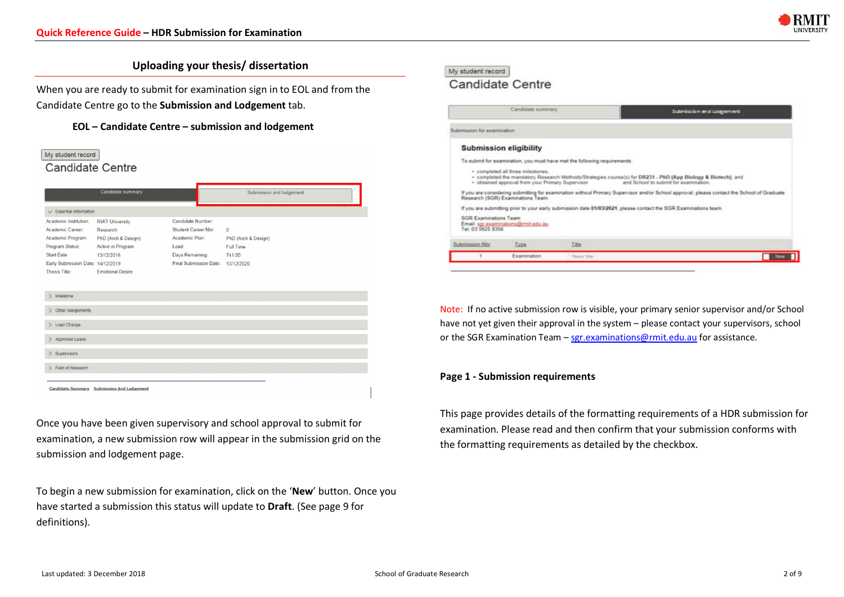

# **Uploading your thesis/ dissertation**

When you are ready to submit for examination sign in to EOL and from the Candidate Centre go to the **Submission and Lodgement** tab.

**EOL – Candidate Centre – submission and lodgement**



Once you have been given supervisory and school approval to submit for examination, a new submission row will appear in the submission grid on the submission and lodgement page.

To begin a new submission for examination, click on the '**New**' button. Once you have started a submission this status will update to **Draft**. (See page 9 for definitions).

#### My student record **Candidate Centre**

#### Candidate summary Submission and Lodgement Submission for examination **Submission eligibility** To submit for examination, you must have met the following requirements - completed all three milestones. - completed the mandatory Research Methods/Strategies course(s) for DR231 - PhD (App Biology & Biotech), and · obtained approval from your Primary Supervisor and School to submit for examin If you are considering submitting for examination without Primary Supervisor and/or School approval, please contact the School of Graduate If you are submitting prior to your early submission date 01/03/2021, please contact the SGR Examinations team **SGR Examinations Team** Email: ser examinations@rmit.edu.au Submission Nbr Type Title Examination **New R** Thirdly Tir

Note: If no active submission row is visible, your primary senior supervisor and/or School have not yet given their approval in the system – please contact your supervisors, school or the SGR Examination Team – sgr.examinations@rmit.edu.au for assistance.

### **Page 1 - Submission requirements**

This page provides details of the formatting requirements of a HDR submission for examination. Please read and then confirm that your submission conforms with the formatting requirements as detailed by the checkbox.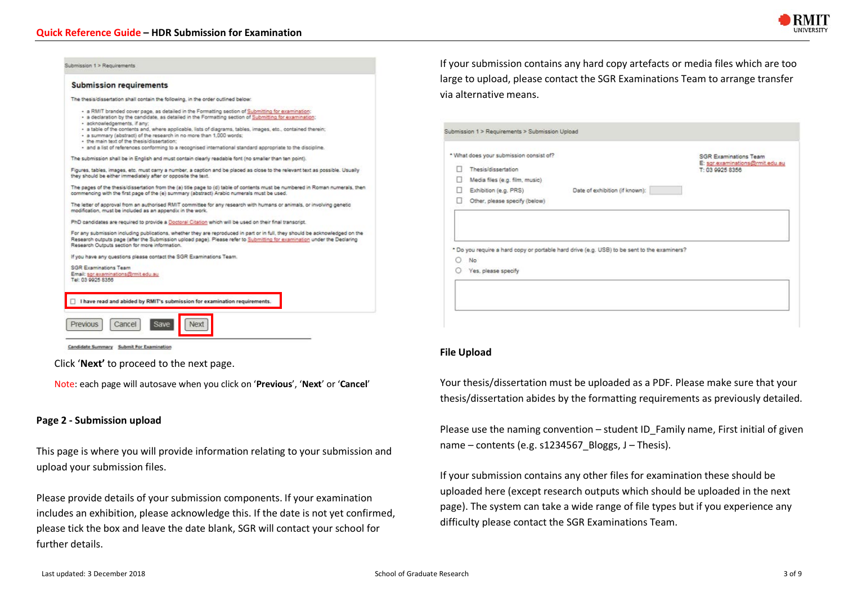

| Submission 1 > Requirements                                                                                                                                                                                                                                                                                                                                                                                                                                                                                                                                                                     | If your submission contains any hard copy artefacts or media files which are too                                  |
|-------------------------------------------------------------------------------------------------------------------------------------------------------------------------------------------------------------------------------------------------------------------------------------------------------------------------------------------------------------------------------------------------------------------------------------------------------------------------------------------------------------------------------------------------------------------------------------------------|-------------------------------------------------------------------------------------------------------------------|
| <b>Submission requirements</b>                                                                                                                                                                                                                                                                                                                                                                                                                                                                                                                                                                  | large to upload, please contact the SGR Examinations Team to arrange transfer<br>via alternative means.           |
| The thesisidissertation shall contain the following, in the order outlined below:                                                                                                                                                                                                                                                                                                                                                                                                                                                                                                               |                                                                                                                   |
| - a RMIT branded cover page, as detailed in the Formatting section of Submitting for examination;<br>· a declaration by the candidate, as detailed in the Formatting section of Submitting for examination:<br>· acknowledgements, if any:<br>· a table of the contents and, where applicable, lists of diagrams, tables, images, etc., contained therein;<br>· a summary (abstract) of the research in no more than 1,000 words;<br>· the main text of the thesis/dissertation:<br>· and a list of references conforming to a recognised international standard appropriate to the discipline. | Submission 1 > Requirements > Submission Upload                                                                   |
| The submission shall be in English and must contain clearly readable font (no smaller than ten point).                                                                                                                                                                                                                                                                                                                                                                                                                                                                                          | * What does your submission consist of?<br><b>SGR Examinations Team</b>                                           |
| Figures, tables, images, etc. must carry a number, a caption and be placed as close to the relevant text as possible. Usually<br>they should be either immediately after or opposite the text.                                                                                                                                                                                                                                                                                                                                                                                                  | E: sgr.examinations@rmit.edu.au<br>п.<br>Thesis/dissertation<br>T: 03 9925 8356<br>Media files (e.g. film, music) |
| The pages of the thesis/dissertation from the (a) title page to (d) table of contents must be numbered in Roman numerals, then<br>commencing with the first page of the (e) summary (abstract) Arabic numerals must be used.                                                                                                                                                                                                                                                                                                                                                                    | Exhibition (e.g. PRS)<br>Date of exhibition (if known):                                                           |
| The letter of approval from an authorised RMIT committee for any research with humans or animals, or involving genetic<br>modification, must be included as an appendix in the work.                                                                                                                                                                                                                                                                                                                                                                                                            | Other, please specify (below)                                                                                     |
| PhD candidates are required to provide a Doctoral Citation which will be used on their final transcript.                                                                                                                                                                                                                                                                                                                                                                                                                                                                                        |                                                                                                                   |
| For any submission including publications, whether they are reproduced in part or in full, they should be acknowledged on the<br>Research outputs page (after the Submission upload page). Please refer to Submitting for examination under the Declaring<br>Research Outputs section for more information.                                                                                                                                                                                                                                                                                     |                                                                                                                   |
| If you have any questions please contact the SGR Examinations Team.                                                                                                                                                                                                                                                                                                                                                                                                                                                                                                                             | * Do you require a hard copy or portable hard drive (e.g. USB) to be sent to the examiners?<br>0.<br>No.          |
| <b>SGR Examinations Team</b>                                                                                                                                                                                                                                                                                                                                                                                                                                                                                                                                                                    | Yes, please specify                                                                                               |
| Email: sgr.examinations@rmit.edu.au<br>Tel: 03 9925 8356                                                                                                                                                                                                                                                                                                                                                                                                                                                                                                                                        |                                                                                                                   |
|                                                                                                                                                                                                                                                                                                                                                                                                                                                                                                                                                                                                 |                                                                                                                   |
| I have read and abided by RMIT's submission for examination requirements.                                                                                                                                                                                                                                                                                                                                                                                                                                                                                                                       |                                                                                                                   |
| Save<br>Cancel<br><b>Previous</b><br>Nex <sup>1</sup>                                                                                                                                                                                                                                                                                                                                                                                                                                                                                                                                           |                                                                                                                   |

Candidate Summary Submit For Examination

Click '**Next'** to proceed to the next page.

Note: each page will autosave when you click on '**Previous**', '**Next**' or '**Cancel**'

#### **Page 2 - Submission upload**

This page is where you will provide information relating to your submission and upload your submission files.

Please provide details of your submission components. If your examination includes an exhibition, please acknowledge this. If the date is not yet confirmed, please tick the box and leave the date blank, SGR will contact your school for further details.

#### **File Upload**

Your thesis/dissertation must be uploaded as a PDF. Please make sure that your thesis/dissertation abides by the formatting requirements as previously detailed.

Please use the naming convention – student ID\_Family name, First initial of given name – contents (e.g. s1234567\_Bloggs, J – Thesis).

If your submission contains any other files for examination these should be uploaded here (except research outputs which should be uploaded in the next page). The system can take a wide range of file types but if you experience any difficulty please contact the SGR Examinations Team.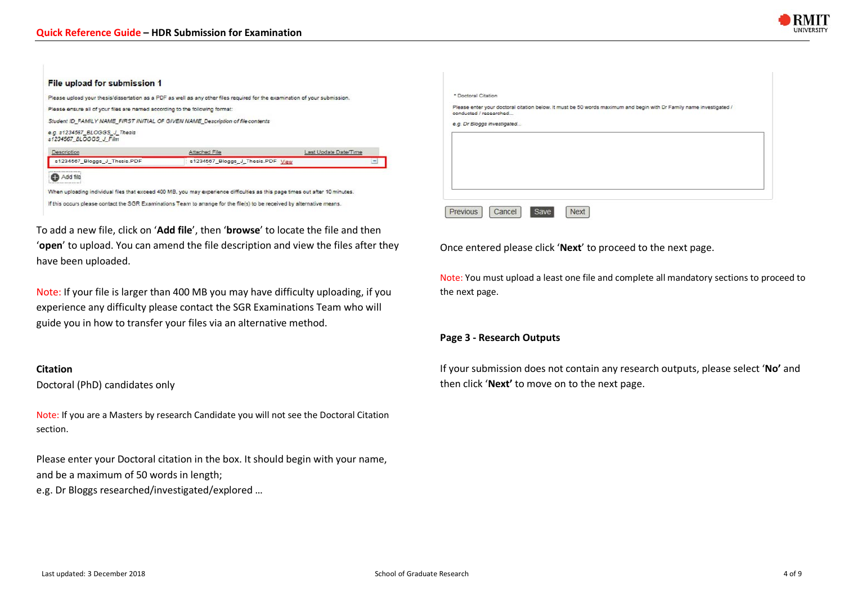

#### File upload for submission 1

| Please ensure all of your files are named according to the following format: | Student ID FAMILY NAME FIRST INITIAL OF GIVEN NAME Description of file contents |                       |
|------------------------------------------------------------------------------|---------------------------------------------------------------------------------|-----------------------|
| e.g. s1234567_BLOGGS_J_Thesis<br>s1234567 BLOGGS J Film                      |                                                                                 |                       |
| Description                                                                  | Attached File                                                                   | Last Update Date/Time |
| s1234567 Bloggs J Thesis.PDF                                                 | s1234567_Bloggs_J_Thesis.PDF_View                                               |                       |

To add a new file, click on '**Add file**', then '**browse**' to locate the file and then '**open**' to upload. You can amend the file description and view the files after they have been uploaded.

Note: If your file is larger than 400 MB you may have difficulty uploading, if you experience any difficulty please contact the SGR Examinations Team who will guide you in how to transfer your files via an alternative method.

#### **Citation**

Doctoral (PhD) candidates only

Note: If you are a Masters by research Candidate you will not see the Doctoral Citation section.

Please enter your Doctoral citation in the box. It should begin with your name, and be a maximum of 50 words in length; e.g. Dr Bloggs researched/investigated/explored …

| conducted / researched | Please enter your doctoral citation below. It must be 50 words maximum and begin with Dr Family name investigated / |  |  |  |
|------------------------|---------------------------------------------------------------------------------------------------------------------|--|--|--|
|                        | e.g. Dr Bloggs investigated                                                                                         |  |  |  |
|                        |                                                                                                                     |  |  |  |
|                        |                                                                                                                     |  |  |  |
|                        |                                                                                                                     |  |  |  |
|                        |                                                                                                                     |  |  |  |
|                        |                                                                                                                     |  |  |  |

Once entered please click '**Next**' to proceed to the next page.

Note: You must upload a least one file and complete all mandatory sections to proceed to the next page.

#### **Page 3 - Research Outputs**

If your submission does not contain any research outputs, please select '**No'** and then click '**Next'** to move on to the next page.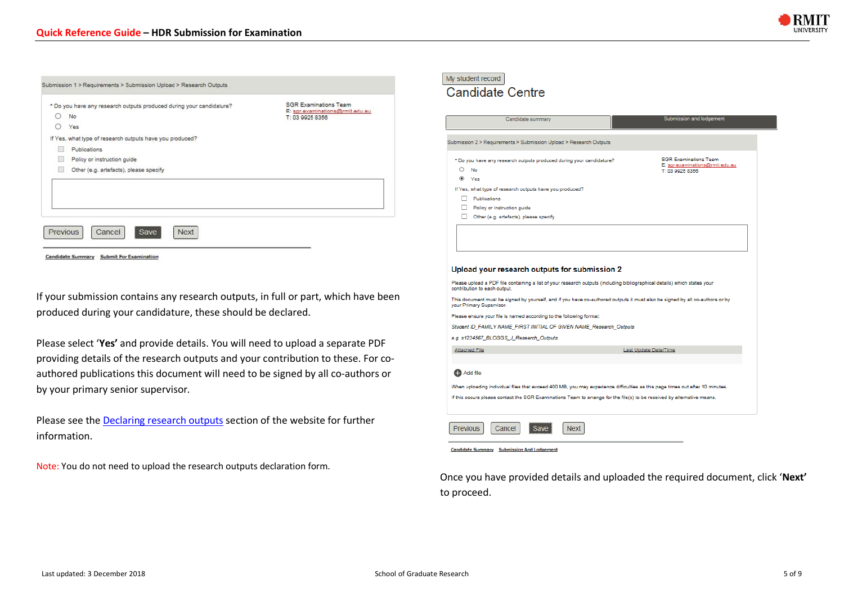

|   | * Do you have any research outputs produced during your candidature? | <b>SGR Examinations Team</b>                      |
|---|----------------------------------------------------------------------|---------------------------------------------------|
| O | No                                                                   | E: sgr.examinations@mit.edu.au<br>T: 03 9925 8356 |
| ∩ | Yes                                                                  |                                                   |
|   | If Yes, what type of research outputs have you produced?             |                                                   |
| п | Publications                                                         |                                                   |
| Ħ | Policy or instruction guide                                          |                                                   |
| u | Other (e.g. artefacts), please specify                               |                                                   |
|   |                                                                      |                                                   |
|   | <b>Previous</b><br>Save<br>Cancel<br><b>Next</b>                     |                                                   |

If your submission contains any research outputs, in full or part, which have been produced during your candidature, these should be declared.

Please select '**Yes'** and provide details. You will need to upload a separate PDF providing details of the research outputs and your contribution to these. For coauthored publications this document will need to be signed by all co-authors or by your primary senior supervisor.

Please see the Declaring research outputs section of the website for further information.

Note: You do not need to upload the research outputs declaration form.

| My student record |  |
|-------------------|--|
|                   |  |

### **Candidate Centre**

| Candidate summary                                                                                                                                         | <b>Submission and lodgement</b>                                                    |
|-----------------------------------------------------------------------------------------------------------------------------------------------------------|------------------------------------------------------------------------------------|
| Submission 2 > Requirements > Submission Upload > Research Outputs                                                                                        |                                                                                    |
| * Do you have any research outputs produced during your candidature?<br>O<br>No<br>$\circledcirc$<br>Yes                                                  | <b>SGR Examinations Team</b><br>E: sgr.examinations@rmit.edu.au<br>T: 03 9925 8356 |
| If Yes, what type of research outputs have you produced?                                                                                                  |                                                                                    |
| Publications                                                                                                                                              |                                                                                    |
| Policy or instruction guide                                                                                                                               |                                                                                    |
| Other (e.g. artefacts), please specify                                                                                                                    |                                                                                    |
| Upload your research outputs for submission 2                                                                                                             |                                                                                    |
| Please upload a PDF file containing a list of your research outputs (including bibliographical details) which states your<br>contribution to each output. |                                                                                    |
| This document must be signed by yourself, and if you have co-authored outputs it must also be signed by all co-authors or by<br>your Primary Supervisor.  |                                                                                    |
| Please ensure your file is named according to the following format:                                                                                       |                                                                                    |
| Student ID_FAMILY NAME_FIRST INITIAL OF GIVEN NAME_Research_Outputs                                                                                       |                                                                                    |
| e.g. s1234567_BLOGGS_J_Research_Outputs                                                                                                                   |                                                                                    |
| <b>Attached File</b>                                                                                                                                      | Last Update Date/Time                                                              |
| <b>CD</b> Add file                                                                                                                                        |                                                                                    |
| When uploading individual files that exceed 400 MB, you may experience difficulties as this page times out after 10 minutes.                              |                                                                                    |
| If this occurs please contact the SGR Examinations Team to arrange for the file(s) to be received by alternative means.                                   |                                                                                    |
| <b>Previous</b><br>Cancel<br>Next                                                                                                                         |                                                                                    |
| <b>Candidate Summary</b> Submission And Lodgement                                                                                                         |                                                                                    |

Once you have provided details and uploaded the required document, click '**Next'** to proceed.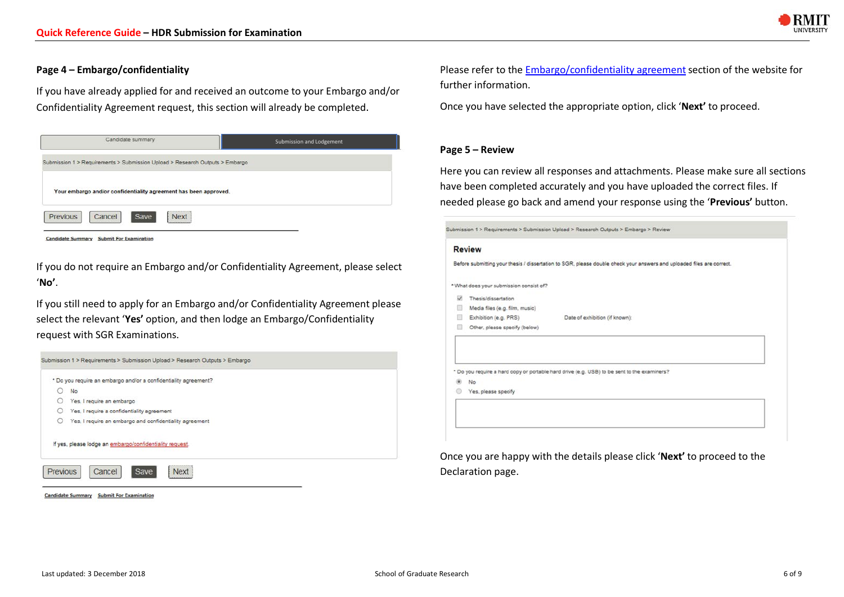

# **Page 4 – Embargo/confidentiality**

If you have already applied for and received an outcome to your Embargo and/or Confidentiality Agreement request, this section will already be completed.



If you do not require an Embargo and/or Confidentiality Agreement, please select '**No'**.

If you still need to apply for an Embargo and/or Confidentiality Agreement please select the relevant '**Yes'** option, and then lodge an Embargo/Confidentiality request with SGR Examinations.



Candidate Summary Submit For Examination

Please refer to the Embargo/confidentiality agreement section of the website for further information.

Once you have selected the appropriate option, click '**Next'** to proceed.

#### **Page 5 – Review**

Here you can review all responses and attachments. Please make sure all sections have been completed accurately and you have uploaded the correct files. If needed please go back and amend your response using the '**Previous'** button.

|    |                                         | Before submitting your thesis / dissertation to SGR, please double check your answers and uploaded files are correct. |
|----|-----------------------------------------|-----------------------------------------------------------------------------------------------------------------------|
|    | * What does your submission consist of? |                                                                                                                       |
| Ñ. | Thesis/dissertation                     |                                                                                                                       |
| 田  | Media files (e.g. film, music)          |                                                                                                                       |
| ▣  | Exhibition (e.g. PRS)                   | Date of exhibition (if known):                                                                                        |
| ш  | Other, please specify (below)           |                                                                                                                       |
|    |                                         |                                                                                                                       |
|    | No                                      | * Do you require a hard copy or portable hard drive (e.g. USB) to be sent to the examiners?                           |

Once you are happy with the details please click '**Next'** to proceed to the Declaration page.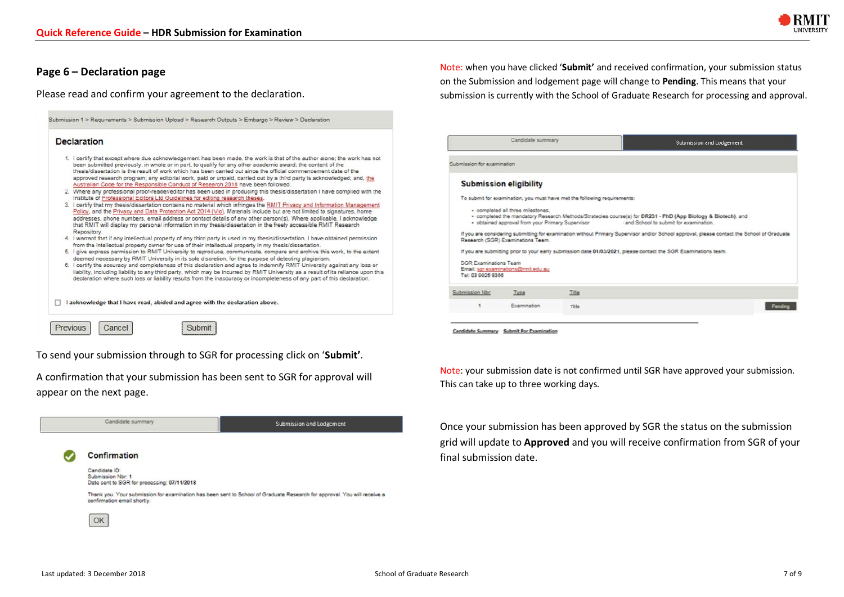

### **Page 6 – Declaration page**

Please read and confirm your agreement to the declaration.

| 1. I certify that except where due acknowledgement has been made, the work is that of the author alone; the work has not                                                                                                                  |
|-------------------------------------------------------------------------------------------------------------------------------------------------------------------------------------------------------------------------------------------|
| been submitted previously, in whole or in part, to qualify for any other academic award; the content of the                                                                                                                               |
| thesis/dissertation is the result of work which has been carried out since the official commencement date of the<br>approved research program; any editorial work, paid or unpaid, carried out by a third party is acknowledged; and, the |
| Australian Code for the Responsible Conduct of Research 2018 have been followed.                                                                                                                                                          |
| 2. Where any professional proof-reader/editor has been used in producing this thesis/dissertation I have complied with the<br>Institute of Professional Editors Ltd Guidelines for editing research theses.                               |
| 3. I certify that my thesis/dissertation contains no material which infringes the RMIT Privacy and Information Management                                                                                                                 |
| Policy, and the Privacy and Data Protection Act 2014 (Vic). Materials include but are not limited to signatures, home                                                                                                                     |
| addresses, phone numbers, email address or contact details of any other person(s). Where applicable, I acknowledge<br>that RMIT will display my personal information in my thesis/dissertation in the freely accessible RMIT Research     |
| Repository.                                                                                                                                                                                                                               |
| 4. I warrant that if any intellectual property of any third party is used in my thesis/dissertation, I have obtained permission<br>from the intellectual property owner for use of their intellectual property in my thesis/dissertation. |
| 5. I give express permission to RMIT University to reproduce, communicate, compare and archive this work, to the extent                                                                                                                   |
| deemed necessary by RMIT University in its sole discretion, for the purpose of detecting plagiarism.                                                                                                                                      |
| 6. I certify the accuracy and completeness of this declaration and agree to indemnify RMIT University against any loss or                                                                                                                 |
| liability, including liability to any third party, which may be incurred by RMIT University as a result of its reliance upon this                                                                                                         |
| declaration where such loss or liability results from the inaccuracy or incompleteness of any part of this declaration.                                                                                                                   |
|                                                                                                                                                                                                                                           |
|                                                                                                                                                                                                                                           |
| I acknowledge that I have read, abided and agree with the declaration above.                                                                                                                                                              |

To send your submission through to SGR for processing click on '**Submit'**.

A confirmation that your submission has been sent to SGR for approval will appear on the next page.



Note: when you have clicked '**Submit'** and received confirmation, your submission status on the Submission and lodgement page will change to **Pending**. This means that your submission is currently with the School of Graduate Research for processing and approval.

| Candidate summary                                 |                                                                                       |                                                                          | Submission and Lodgement                                                                                                                              |  |
|---------------------------------------------------|---------------------------------------------------------------------------------------|--------------------------------------------------------------------------|-------------------------------------------------------------------------------------------------------------------------------------------------------|--|
| Submission for examination                        |                                                                                       |                                                                          |                                                                                                                                                       |  |
|                                                   | <b>Submission eligibility</b>                                                         |                                                                          |                                                                                                                                                       |  |
|                                                   |                                                                                       | To submit for examination, you must have met the following requirements: |                                                                                                                                                       |  |
|                                                   | · completed all three milestones.<br>· obtained approval from your Primary Supervisor |                                                                          | - completed the mandatory Research Methods/Strategies course(s) for DR231 - PhD (App Biology & Biotech), and<br>and School to submit for examination. |  |
|                                                   | Research (SGR) Examinations Team.                                                     |                                                                          | If you are considering submitting for examination without Primary Supervisor and/or School approval, please contact the School of Graduate            |  |
|                                                   |                                                                                       |                                                                          | If you are submitting prior to your early submission date 01/03/2021, please contact the SGR Examinations team.                                       |  |
| <b>SGR Examinations Team</b><br>Tel: 03 9925 8356 | Email: sgr.examinations@rmit.edu.au                                                   |                                                                          |                                                                                                                                                       |  |
| Submission Nbr                                    | Type                                                                                  | Title                                                                    |                                                                                                                                                       |  |
| ٠                                                 | Examination                                                                           | Title                                                                    |                                                                                                                                                       |  |
|                                                   |                                                                                       |                                                                          |                                                                                                                                                       |  |

Note: your submission date is not confirmed until SGR have approved your submission. This can take up to three working days.

Once your submission has been approved by SGR the status on the submission grid will update to **Approved** and you will receive confirmation from SGR of your final submission date.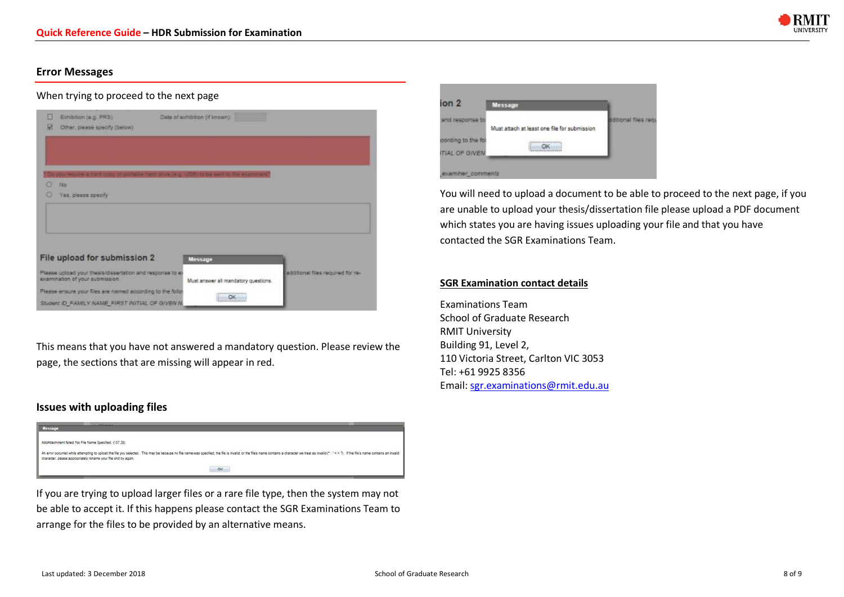

# **Error Messages**

# When trying to proceed to the next page

| u | Exhibition (e.g. PRS)<br>Other, please specify (below)                                        | Date of exhibition (if known):       |                                   |
|---|-----------------------------------------------------------------------------------------------|--------------------------------------|-----------------------------------|
|   | you require a hard copy or portable herd drive (e.g. USB) to be sent to the examiners'        |                                      |                                   |
| o | No                                                                                            |                                      |                                   |
|   | Yes, please specify                                                                           |                                      |                                   |
|   |                                                                                               |                                      |                                   |
|   | File upload for submission 2                                                                  | Message                              |                                   |
|   | Please upload your thesis/dissertation and response to ex-<br>examination of your submission. | Must answer all mandatory questions. | additional files required for re- |
|   | Please ensure your files are named according to the follo-                                    | <b>TERRITORES</b><br>OK              |                                   |
|   | Student ID, FAMILY NAME, FIRST INITIAL OF GIVEN N.                                            |                                      |                                   |

This means that you have not answered a mandatory question. Please review the page, the sections that are missing will appear in red.

# **Issues with uploading files**



If you are trying to upload larger files or a rare file type, then the system may not be able to accept it. If this happens please contact the SGR Examinations Team to arrange for the files to be provided by an alternative means.



You will need to upload a document to be able to proceed to the next page, if you are unable to upload your thesis/dissertation file please upload a PDF document which states you are having issues uploading your file and that you have contacted the SGR Examinations Team.

#### **SGR Examination contact details**

Examinations Team School of Graduate Research RMIT University Building 91, Level 2, 110 Victoria Street, Carlton VIC 3053 Tel: +61 9925 8356 Email: sgr.examinations@rmit.edu.au